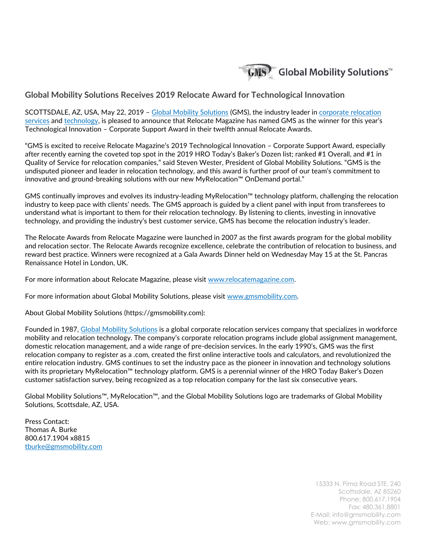

## **Global Mobility Solutions Receives 2019 Relocate Award for Technological Innovation**

SCOTTSDALE, AZ, USA, May 22, 2019 - [Global Mobility Solutions](https://gmsmobility.com/) (GMS), the industry leader in corporate relocation [services](https://gmsmobility.com/corporate-relocation-services/) and [technology,](https://gmsmobility.com/myrelocation-technology/) is pleased to announce that Relocate Magazine has named GMS as the winner for this year's Technological Innovation – Corporate Support Award in their twelfth annual Relocate Awards.

"GMS is excited to receive Relocate Magazine's 2019 Technological Innovation – Corporate Support Award, especially after recently earning the coveted top spot in the 2019 HRO Today's Baker's Dozen list; ranked #1 Overall, and #1 in Quality of Service for relocation companies," said Steven Wester, President of Global Mobility Solutions. "GMS is the undisputed pioneer and leader in relocation technology, and this award is further proof of our team's commitment to innovative and ground-breaking solutions with our new MyRelocation™ OnDemand portal."

GMS continually improves and evolves its industry-leading MyRelocation™ technology platform, challenging the relocation industry to keep pace with clients' needs. The GMS approach is guided by a client panel with input from transferees to understand what is important to them for their relocation technology. By listening to clients, investing in innovative technology, and providing the industry's best customer service, GMS has become the relocation industry's leader.

The Relocate Awards from Relocate Magazine were launched in 2007 as the first awards program for the global mobility and relocation sector. The Relocate Awards recognize excellence, celebrate the contribution of relocation to business, and reward best practice. Winners were recognized at a Gala Awards Dinner held on Wednesday May 15 at the St. Pancras Renaissance Hotel in London, UK.

For more information about Relocate Magazine, please visit [www.relocatemagazine.com.](https://www.relocatemagazine.com/)

For more information about Global Mobility Solutions, please visit [www.gmsmobility.com.](https://gmsmobility.com/)

About Global Mobility Solutions (https://gmsmobility.com):

Founded in 1987, [Global Mobility Solutions](https://gmsmobility.com/) is a global corporate relocation services company that specializes in workforce mobility and relocation technology. The company's corporate relocation programs include global assignment management, domestic relocation management, and a wide range of pre-decision services. In the early 1990's, GMS was the first relocation company to register as a .com, created the first online interactive tools and calculators, and revolutionized the entire relocation industry. GMS continues to set the industry pace as the pioneer in innovation and technology solutions with its proprietary MyRelocation™ technology platform. GMS is a perennial winner of the HRO Today Baker's Dozen customer satisfaction survey, being recognized as a top relocation company for the last six consecutive years.

Global Mobility Solutions™, MyRelocation™, and the Global Mobility Solutions logo are trademarks of Global Mobility Solutions, Scottsdale, AZ, USA.

Press Contact: Thomas A. Burke 800.617.1904 x8815 [tburke@gmsmobility.com](mailto:tburke@gmsmobility.com)

> 15333 N. Pima Road STE. 240 Scottsdale, AZ 85260 Phone: 800.617.1904 Fax: 480.361.8801 E-Mail: info@gmsmobility.com Web: www.gmsmobility.com